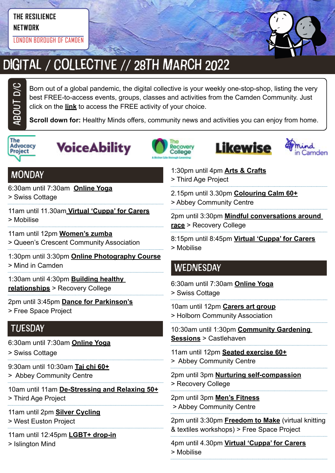#### **THE RESILIENCE NETWORK**

LONDON BOROUGH OF CAMDEN



# DIGITAL / COLLECTIVE // 28TH MARCH 2022

Born out of a global pandemic, the digital collective is your weekly one-stop-shop, listing the very best FREE-to-access events, groups, classes and activities from the Camden Community. Just click on the **link** to access the FREE activity of your choice.

**Scroll down for:** Healthy Minds offers, community news and activities you can enjoy from home.



ABOUt D/C









#### **MONDAY**

6:30am until 7:30am **[Online Yoga](https://yourswiss.org/)**

> Swiss Cottage

- 11am until 11.30am **[Virtual 'Cuppa' for Carers](https://www.mobiliseonline.co.uk/cuppa)**
- > Mobilise
- 11am until 12pm **[Women's zumba](https://twitter.com/QCCA_ltd/status/1441030606608027653/photo/1)**
- > Queen's Crescent Community Association
- 1:30pm until 3:30pm **[Online Photography Course](https://www.mindincamden.org.uk/news/free-online-photography-course)**
- > Mind in Camden

1:30am until 4:30pm **[Building healthy](https://www.candi.nhs.uk/our-services/education-and-employment/recovery-college)  [relationships](https://www.candi.nhs.uk/our-services/education-and-employment/recovery-college)** > Recovery College

2pm until 3:45pm **[Dance for Parkinson's](https://www.freespaceproject.org/blog/dance-for-parkinsons)** > Free Space Project

## **TUESDAY**

- 6:30am until 7:30am **[Online Yoga](https://yourswiss.org/)**
- > Swiss Cottage
- 9:30am until 10:30am **[Tai chi 60+](https://abbeycc-kilburn.org.uk/wp-content/uploads/2020/03/January-2022-programme.pdf)**
- > Abbey Community Centre

10am until 11am **[De-Stressing and Relaxing 50+](https://mcusercontent.com/ea2facf10e2b0030d86ac8775/images/7b7e1a43-b1d4-46e2-9a1c-220235255224.jpg?fbclid=IwAR3OeQ_6KX5rCiRFaTvQ2osfj66ekG8CeO0OVWDTfpWugvLoPIhuUhJObyU)**

- > Third Age Project
- 11am until 2pm **[Silver Cycling](https://www.westeustonpartnership.org/silver-cycling/)**
- > West Euston Project

11am until 12:45pm **[LGBT+ drop-in](https://www.islingtonmind.org.uk/our-services/mhrp/virtual-support-services/)**

> Islington Mind

> Third Age Project 2.15pm until 3.30pm **[Colouring Calm 60+](https://abbeycc-kilburn.org.uk/wp-content/uploads/2020/03/January-2022-programme.pdf)**

1:30pm until 4pm **[Arts & Crafts](https://twitter.com/ThirdAgeProject/status/1483392643849756675/photo/2)**

> Abbey Community Centre

2pm until 3:30pm **[Mindful conversations around](https://www.candi.nhs.uk/our-services/education-and-employment/recovery-college)  [race](https://www.candi.nhs.uk/our-services/education-and-employment/recovery-college)** > Recovery College

8:15pm until 8:45pm **[Virtual 'Cuppa' for Carers](https://www.mobiliseonline.co.uk/cuppa)** > Mobilise

## **WEDNESDAY**

6:30am until 7:30am **[Online Yoga](https://yourswiss.org/)** > Swiss Cottage

10am until 12pm **[Carers art group](https://www.holborncommunity.co.uk/events/carers-art-group-2021-04-07/)** > Holborn Community Association

10:30am until 1:30pm **[Community Gardening](https://www.castlehaven.org.uk/whats-on/event/1459/)  [Sessions](https://www.castlehaven.org.uk/whats-on/event/1459/)** > Castlehaven

11am until 12pm **[Seated exercise 60+](https://abbeycc-kilburn.org.uk/wp-content/uploads/2020/03/January-2022-programme.pdf)** > Abbey Community Centre

2pm until 3pm **[Nurturing self-compassion](https://www.candi.nhs.uk/our-services/education-and-employment/recovery-college)** > Recovery College

2pm until 3pm **[Men's Fitness](mailto:https://abbeycc-kilburn.org.uk/wp-content/uploads/2020/03/January-2022-programme.pdf?subject=Men%27s%20fitness)** > Abbey Community Centre

2pm until 3:30pm **[Freedom to Make](https://www.freespaceproject.org/projects/freedomtomake)** (virtual knitting & textiles workshops) > Free Space Project

4pm until 4.30pm **[Virtual 'Cuppa' for Carers](https://www.mobiliseonline.co.uk/cuppa)** > Mobilise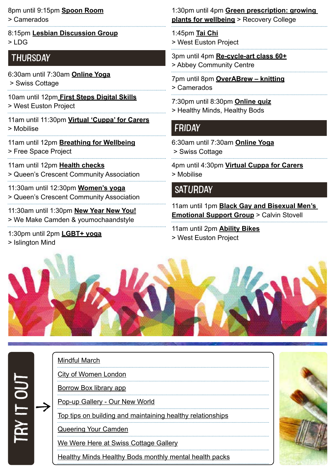8pm until 9:15pm **[Spoon Room](https://www.camerados.org/events/)** > Camerados

8:15pm **[Lesbian Discussion Group](https://www.lesbiandiscussiongroup.com/)**  $>1$  DG

#### THURSDAY

- 6:30am until 7:30am **[Online Yoga](https://yourswiss.org/)** > Swiss Cottage
- 10am until 12pm **[First Steps Digital Skills](file:C:\Users\akirton\OneDrive%20-%20Mind%20In%20Camden\Documents\Digital%20Collective\WEP%20Newsletter%20Edition%2098%2010%20March%202022.pdf)** > West Euston Project
- 11am until 11:30pm **[Virtual 'Cuppa' for Carers](https://www.mobiliseonline.co.uk/cuppa)** > Mobilise
- 11am until 12pm **[Breathing for Wellbeing](https://www.freespaceproject.org/blog/guidedmeditation-57c8e)** > Free Space Project
- 11am until 12pm **[Health checks](https://twitter.com/QCCA_ltd/status/1441030606608027653/photo/1)** > Queen's Crescent Community Association
- 11:30am until 12:30pm **[Women's yoga](https://twitter.com/QCCA_ltd/status/1441030606608027653/photo/1)** > Queen's Crescent Community Association
- 11:30am until 1:30pm **[New Year New You!](https://www.mentalhealthcamden.co.uk/events/22/02/new-year-new-you)** > We Make Camden & youmochaandstyle
- 1:30pm until 2pm **[LGBT+ yoga](https://www.islingtonmind.org.uk/our-services/outcome/)**
- > Islington Mind

1:30pm until 4pm **[Green prescription: growing](https://www.candi.nhs.uk/our-services/education-and-employment/recovery-college)  [plants for wellbeing](https://www.candi.nhs.uk/our-services/education-and-employment/recovery-college)** > Recovery College

- 1:45pm **[Tai Chi](https://www.westeustonpartnership.org/wp-content/uploads/WEP-Newsletter-Edition-57-18-March-2021.docx.pdf)** > West Euston Project
- 3pm until 4pm **[Re-cycle-art class](https://abbeycc-kilburn.org.uk/wp-content/uploads/2020/03/January-2022-programme.pdf) 60+** > Abbey Community Centre
- 7pm until 8pm **[OverABrew knitting](https://www.camerados.org/events/)** > Camerados
- 7:30pm until 8:30pm **[Online quiz](https://www.mentalhealthcamden.co.uk/events/22/02/healthy-minds-healthy-bods-online-quiz)**
- > Healthy Minds, Healthy Bods

#### FRIDAY

- 6:30am until 7:30am **[Online Yoga](https://yourswiss.org/)** > Swiss Cottage
- 4pm until 4:30pm **[Virtual Cuppa for Carers](https://www.mobiliseonline.co.uk/cuppa)** > Mobilise

#### **SATURDAY**

11am until 1pm **[Black Gay and Bisexual Men's](https://www.mentalhealthcamden.co.uk/events/22/02/black-gay-and-bisexual-mens-emotional-support-group)  [Emotional Support Group](https://www.mentalhealthcamden.co.uk/events/22/02/black-gay-and-bisexual-mens-emotional-support-group)** > Calvin Stovell

11am until 2pm **[Ability Bikes](https://www.westeustonpartnership.org/wp-content/uploads/WEP-Newsletter-Edition-74-15-July-2021.pdf)** > West Euston Project



#### [Mindful March](file:https://twitter.com/actionhappiness/status/1498253042726092803/photo/1)

 $\rightarrow$ 

try it ou

[City of Women London](file:https://www.cityofwomenlondon.org/)

[Borrow Box library app](file:https://www.borrowbox.com/)

[Pop-up Gallery - Our New World](https://www.internationalwomensday.com/Activity/17304/Pop-up-Gallery-Our-New-World)

[Top tips on building and maintaining healthy relationships](https://www.mentalhealth.org.uk/campaigns/healthy-relationships/top-tips-building-and-maintaining-healthy-relationships?utm_source=mainlist_newsletter&utm_medium=email&utm_campaign=healthy_relationships&utm_content=button&bbeml=tp-EbFsTopOv0SfkgIhAgzciA.j5FtRQYDNuUyxKMSBJD3oDQ.rZi5mWxculUSKgQKLdGocaQ.l4gZb9_oQqUGB1DvYtxpQQg)

[Queering Your Camden](https://explore.echoes.xyz/collections/zRAy5MFU9Pf16mbg)

[We Were Here at Swiss Cottage Gallery](https://lovecamden.org/)

[Healthy Minds Healthy Bods monthly mental health packs](https://www.hmhb2016.org.uk/monthly-health-packs-may-21-ongoing)